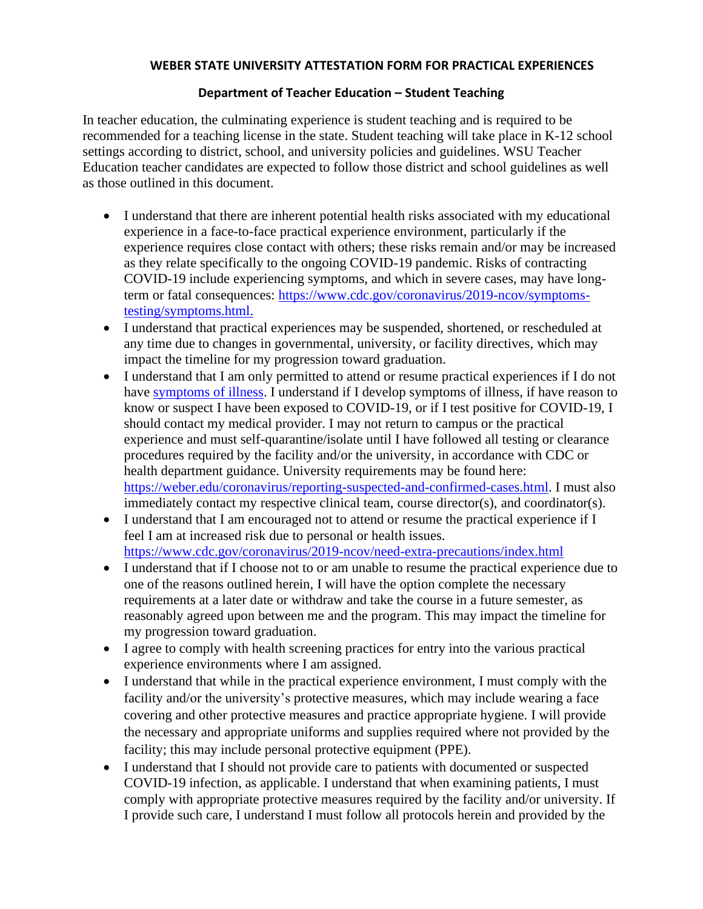## **WEBER STATE UNIVERSITY ATTESTATION FORM FOR PRACTICAL EXPERIENCES**

## **Department of Teacher Education – Student Teaching**

In teacher education, the culminating experience is student teaching and is required to be recommended for a teaching license in the state. Student teaching will take place in K-12 school settings according to district, school, and university policies and guidelines. WSU Teacher Education teacher candidates are expected to follow those district and school guidelines as well as those outlined in this document.

- I understand that there are inherent potential health risks associated with my educational experience in a face-to-face practical experience environment, particularly if the experience requires close contact with others; these risks remain and/or may be increased as they relate specifically to the ongoing COVID-19 pandemic. Risks of contracting COVID-19 include experiencing symptoms, and which in severe cases, may have longterm or fatal consequences: [https://www.cdc.gov/coronavirus/2019-ncov/symptoms](https://www.cdc.gov/coronavirus/2019-ncov/symptoms-testing/symptoms.html)[testing/symptoms.html.](https://www.cdc.gov/coronavirus/2019-ncov/symptoms-testing/symptoms.html)
- I understand that practical experiences may be suspended, shortened, or rescheduled at any time due to changes in governmental, university, or facility directives, which may impact the timeline for my progression toward graduation.
- I understand that I am only permitted to attend or resume practical experiences if I do not have [symptoms of illness.](https://www.cdc.gov/coronavirus/2019-ncov/symptoms-testing/symptoms.html) I understand if I develop symptoms of illness, if have reason to know or suspect I have been exposed to COVID-19, or if I test positive for COVID-19, I should contact my medical provider. I may not return to campus or the practical experience and must self-quarantine/isolate until I have followed all testing or clearance procedures required by the facility and/or the university, in accordance with CDC or health department guidance. University requirements may be found here: [https://weber.edu/coronavirus/reporting-suspected-and-confirmed-cases.html.](https://weber.edu/coronavirus/reporting-suspected-and-confirmed-cases.html) I must also immediately contact my respective clinical team, course director(s), and coordinator(s).
- I understand that I am encouraged not to attend or resume the practical experience if I feel I am at increased risk due to personal or health issues. <https://www.cdc.gov/coronavirus/2019-ncov/need-extra-precautions/index.html>
- I understand that if I choose not to or am unable to resume the practical experience due to one of the reasons outlined herein, I will have the option complete the necessary requirements at a later date or withdraw and take the course in a future semester, as reasonably agreed upon between me and the program. This may impact the timeline for my progression toward graduation.
- I agree to comply with health screening practices for entry into the various practical experience environments where I am assigned.
- I understand that while in the practical experience environment, I must comply with the facility and/or the university's protective measures, which may include wearing a face covering and other protective measures and practice appropriate hygiene. I will provide the necessary and appropriate uniforms and supplies required where not provided by the facility; this may include personal protective equipment (PPE).
- I understand that I should not provide care to patients with documented or suspected COVID-19 infection, as applicable. I understand that when examining patients, I must comply with appropriate protective measures required by the facility and/or university. If I provide such care, I understand I must follow all protocols herein and provided by the